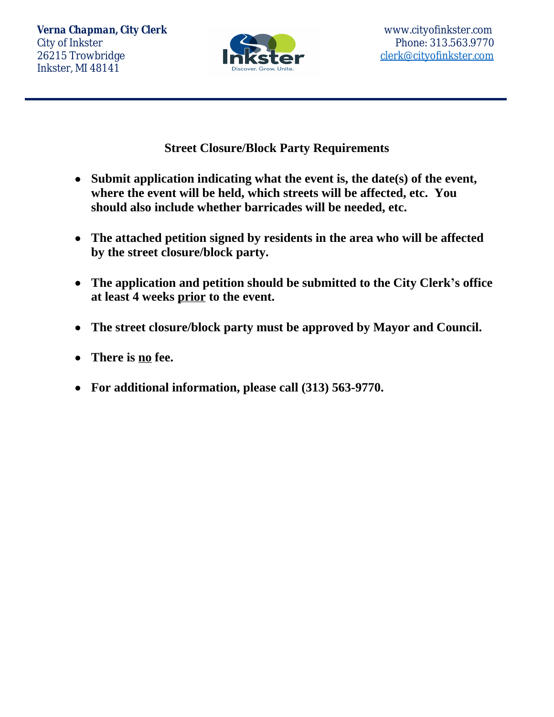*Verna Chapman, City Clerk* www.cityofinkster.com City of Inkster Phone: 313.563.9770 26215 Trowbridge **[clerk@cityofinkster.com](mailto:clerk@cityofinkster.com)** Inkster, MI 48141



**Street Closure/Block Party Requirements**

- **Submit application indicating what the event is, the date(s) of the event, where the event will be held, which streets will be affected, etc. You should also include whether barricades will be needed, etc.**
- **The attached petition signed by residents in the area who will be affected by the street closure/block party.**
- **The application and petition should be submitted to the City Clerk's office at least 4 weeks prior to the event.**
- **The street closure/block party must be approved by Mayor and Council.**
- **There is no fee.**
- **For additional information, please call (313) 563-9770.**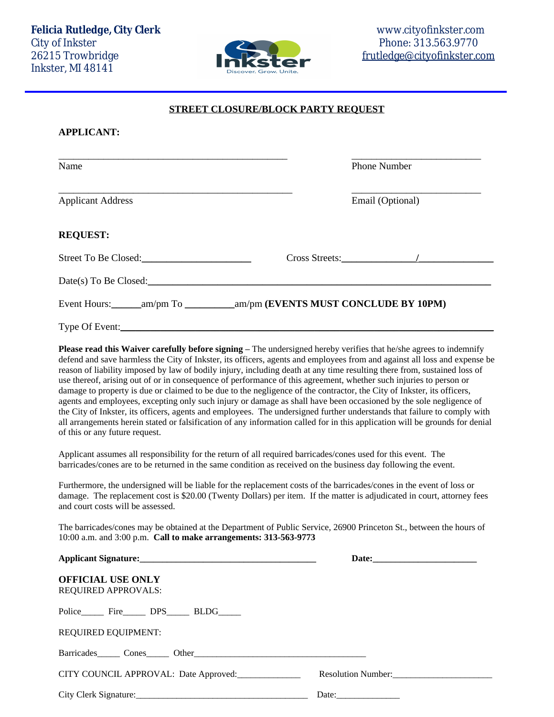Inkster, MI 48141

## **STREET CLOSURE/BLOCK PARTY REQUEST**

## **APPLICANT:**

| Name                     | <b>Phone Number</b>                                                             |
|--------------------------|---------------------------------------------------------------------------------|
| <b>Applicant Address</b> | Email (Optional)                                                                |
| <b>REQUEST:</b>          |                                                                                 |
| Street To Be Closed:     | Cross Streets: //                                                               |
| Date(s) To Be Closed:    |                                                                                 |
|                          | Event Hours: ________am/pm To _____________am/pm (EVENTS MUST CONCLUDE BY 10PM) |
|                          |                                                                                 |

**Please read this Waiver carefully before signing – The undersigned hereby verifies that he/she agrees to indemnify** defend and save harmless the City of Inkster, its officers, agents and employees from and against all loss and expense be reason of liability imposed by law of bodily injury, including death at any time resulting there from, sustained loss of use thereof, arising out of or in consequence of performance of this agreement, whether such injuries to person or damage to property is due or claimed to be due to the negligence of the contractor, the City of Inkster, its officers, agents and employees, excepting only such injury or damage as shall have been occasioned by the sole negligence of the City of Inkster, its officers, agents and employees. The undersigned further understands that failure to comply with all arrangements herein stated or falsification of any information called for in this application will be grounds for denial of this or any future request.

Applicant assumes all responsibility for the return of all required barricades/cones used for this event. The barricades/cones are to be returned in the same condition as received on the business day following the event.

Furthermore, the undersigned will be liable for the replacement costs of the barricades/cones in the event of loss or damage. The replacement cost is \$20.00 (Twenty Dollars) per item. If the matter is adjudicated in court, attorney fees and court costs will be assessed.

The barricades/cones may be obtained at the Department of Public Service, 26900 Princeton St., between the hours of 10:00 a.m. and 3:00 p.m. **Call to make arrangements: 313-563-9773**

| <b>OFFICIAL USE ONLY</b><br><b>REQUIRED APPROVALS:</b>                                                                                                                                                                         |                    |
|--------------------------------------------------------------------------------------------------------------------------------------------------------------------------------------------------------------------------------|--------------------|
| Police Fire DPS BLDG                                                                                                                                                                                                           |                    |
| <b>REQUIRED EQUIPMENT:</b>                                                                                                                                                                                                     |                    |
| Barricades Cones Other Contract Cones Cones Cones Cones Cones Cones Cones Cones Cones Cones Cones Cones Cones Cones Cones Cones Cones Cones Cones Cones Cones Cones Cones Cones Cones Cones Cones Cones Cones Cones Cones Cone |                    |
| CITY COUNCIL APPROVAL: Date Approved:                                                                                                                                                                                          | Resolution Number: |
| City Clerk Signature:                                                                                                                                                                                                          |                    |